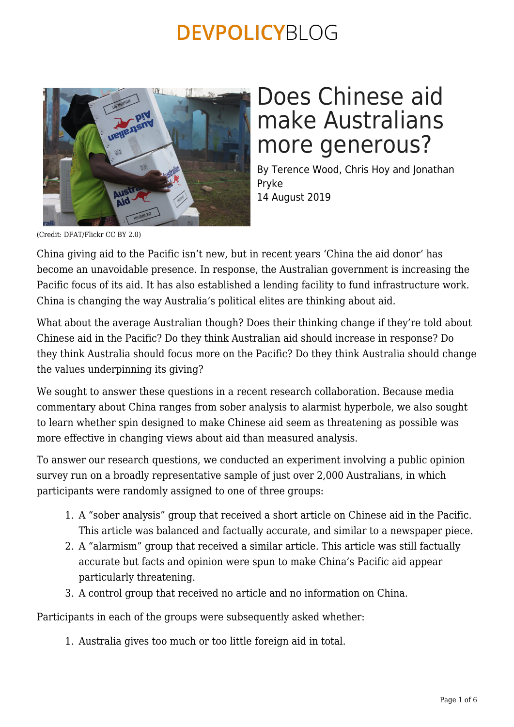

## Does Chinese aid make Australians more generous?

By Terence Wood, Chris Hoy and Jonathan Pryke 14 August 2019

(Credit: DFAT/Flickr CC BY 2.0)

China giving aid to the Pacific isn't new, but in recent years 'China the aid donor' has become an unavoidable presence. In response, the Australian government is increasing the Pacific focus of its aid. It has also established a lending facility to fund infrastructure work. China is changing the way Australia's political elites are thinking about aid.

What about the average Australian though? Does their thinking change if they're told about Chinese aid in the Pacific? Do they think Australian aid should increase in response? Do they think Australia should focus more on the Pacific? Do they think Australia should change the values underpinning its giving?

We sought to answer these questions in a recent research collaboration. Because media commentary about China ranges from sober analysis to alarmist hyperbole, we also sought to learn whether spin designed to make Chinese aid seem as threatening as possible was more effective in changing views about aid than measured analysis.

To answer our research questions, we conducted an experiment involving a public opinion survey run on a broadly representative sample of just over 2,000 Australians, in which participants were randomly assigned to one of three groups:

- 1. A "sober analysis" group that received a short article on Chinese aid in the Pacific. This article was balanced and factually accurate, and similar to a newspaper piece.
- 2. A "alarmism" group that received a similar article. This article was still factually accurate but facts and opinion were spun to make China's Pacific aid appear particularly threatening.
- 3. A control group that received no article and no information on China.

Participants in each of the groups were subsequently asked whether:

1. Australia gives too much or too little foreign aid in total.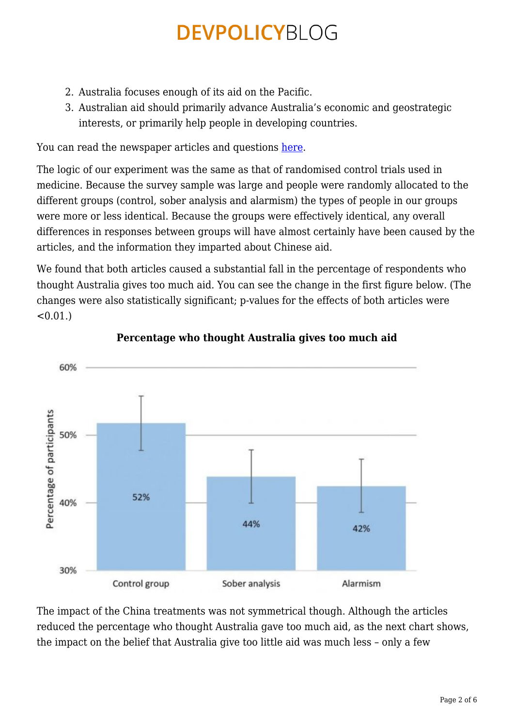- 2. Australia focuses enough of its aid on the Pacific.
- 3. Australian aid should primarily advance Australia's economic and geostrategic interests, or primarily help people in developing countries.

You can read the newspaper articles and questions [here](https://devpolicy.org/wp-content/uploads/2019/07/China-Questions-and-Treatments-TW-1-5-19.pdf).

The logic of our experiment was the same as that of randomised control trials used in medicine. Because the survey sample was large and people were randomly allocated to the different groups (control, sober analysis and alarmism) the types of people in our groups were more or less identical. Because the groups were effectively identical, any overall differences in responses between groups will have almost certainly have been caused by the articles, and the information they imparted about Chinese aid.

We found that both articles caused a substantial fall in the percentage of respondents who thought Australia gives too much aid. You can see the change in the first figure below. (The changes were also statistically significant; p-values for the effects of both articles were  $< 0.01$ .)



### **Percentage who thought Australia gives too much aid**

The impact of the China treatments was not symmetrical though. Although the articles reduced the percentage who thought Australia gave too much aid, as the next chart shows, the impact on the belief that Australia give too little aid was much less – only a few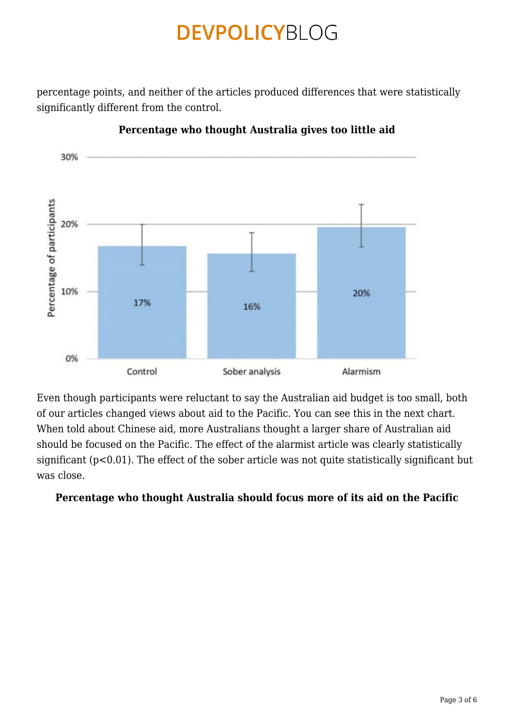percentage points, and neither of the articles produced differences that were statistically significantly different from the control.



**Percentage who thought Australia gives too little aid**

Even though participants were reluctant to say the Australian aid budget is too small, both of our articles changed views about aid to the Pacific. You can see this in the next chart. When told about Chinese aid, more Australians thought a larger share of Australian aid should be focused on the Pacific. The effect of the alarmist article was clearly statistically significant (p<0.01). The effect of the sober article was not quite statistically significant but was close.

### **Percentage who thought Australia should focus more of its aid on the Pacific**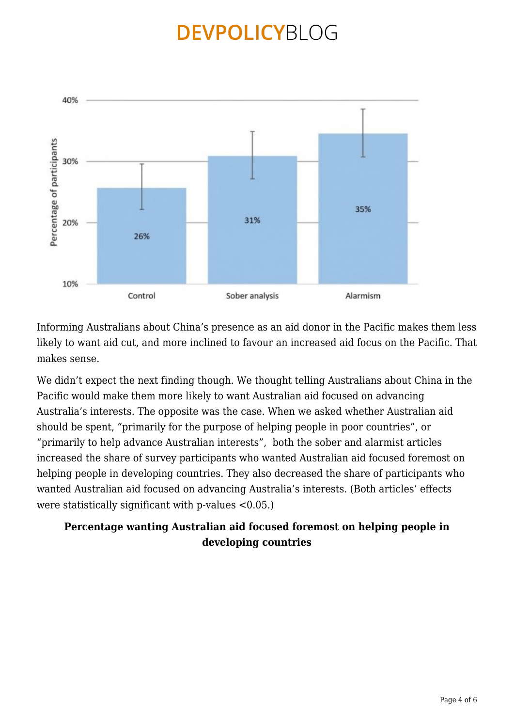

Informing Australians about China's presence as an aid donor in the Pacific makes them less likely to want aid cut, and more inclined to favour an increased aid focus on the Pacific. That makes sense.

We didn't expect the next finding though. We thought telling Australians about China in the Pacific would make them more likely to want Australian aid focused on advancing Australia's interests. The opposite was the case. When we asked whether Australian aid should be spent, "primarily for the purpose of helping people in poor countries", or "primarily to help advance Australian interests", both the sober and alarmist articles increased the share of survey participants who wanted Australian aid focused foremost on helping people in developing countries. They also decreased the share of participants who wanted Australian aid focused on advancing Australia's interests. (Both articles' effects were statistically significant with p-values <0.05.)

### **Percentage wanting Australian aid focused foremost on helping people in developing countries**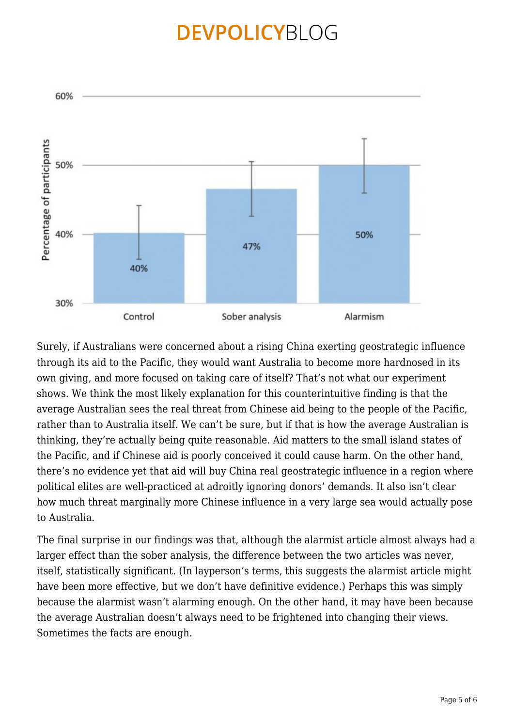

Surely, if Australians were concerned about a rising China exerting geostrategic influence through its aid to the Pacific, they would want Australia to become more hardnosed in its own giving, and more focused on taking care of itself? That's not what our experiment shows. We think the most likely explanation for this counterintuitive finding is that the average Australian sees the real threat from Chinese aid being to the people of the Pacific, rather than to Australia itself. We can't be sure, but if that is how the average Australian is thinking, they're actually being quite reasonable. Aid matters to the small island states of the Pacific, and if Chinese aid is poorly conceived it could cause harm. On the other hand, there's no evidence yet that aid will buy China real geostrategic influence in a region where political elites are well-practiced at adroitly ignoring donors' demands. It also isn't clear how much threat marginally more Chinese influence in a very large sea would actually pose to Australia.

The final surprise in our findings was that, although the alarmist article almost always had a larger effect than the sober analysis, the difference between the two articles was never, itself, statistically significant. (In layperson's terms, this suggests the alarmist article might have been more effective, but we don't have definitive evidence.) Perhaps this was simply because the alarmist wasn't alarming enough. On the other hand, it may have been because the average Australian doesn't always need to be frightened into changing their views. Sometimes the facts are enough.